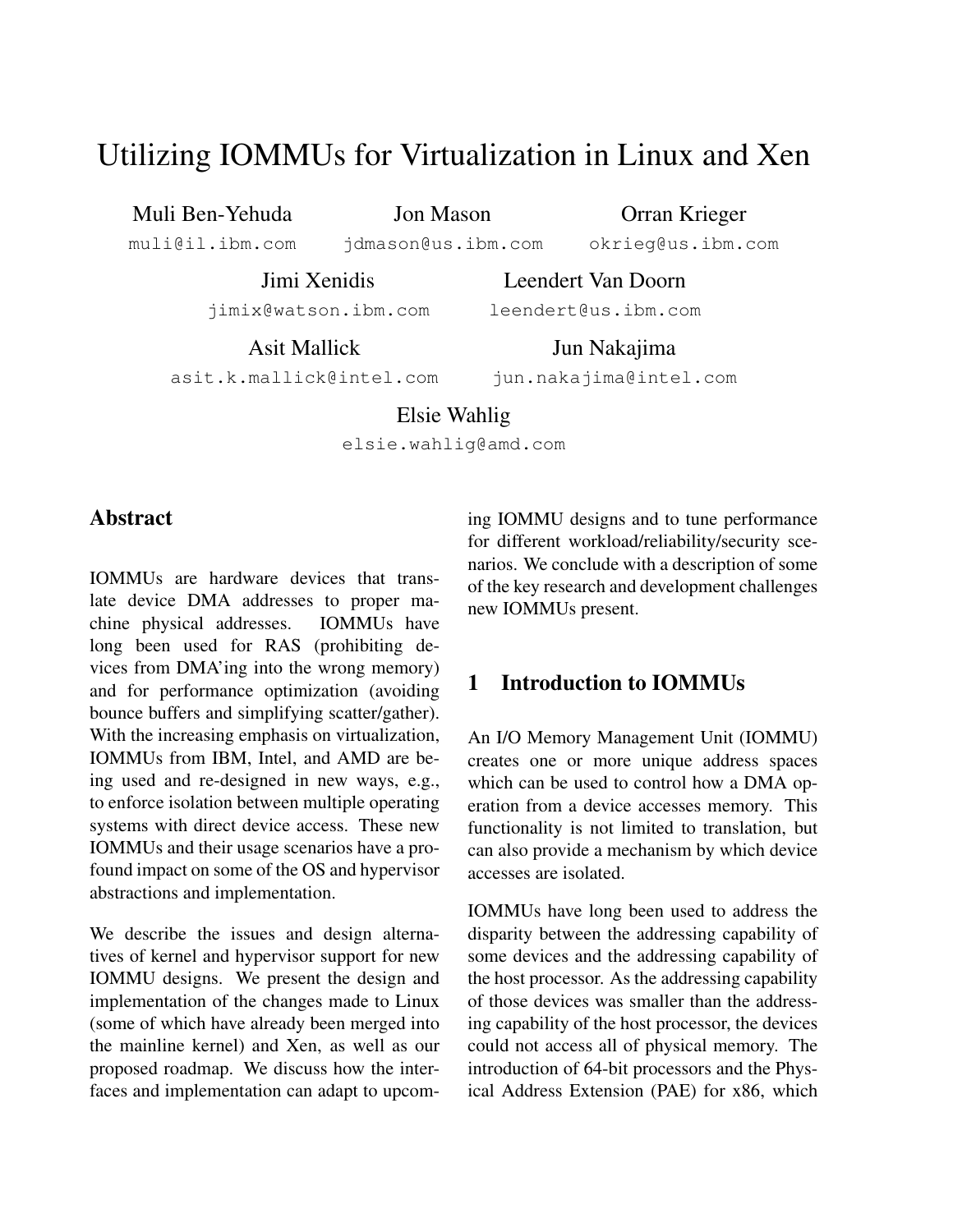# Utilizing IOMMUs for Virtualization in Linux and Xen

Muli Ben-Yehuda

Jon Mason

Orran Krieger okrieg@us.ibm.com

muli@il.ibm.com

jdmason@us.ibm.com

Jimi Xenidis

jimix@watson.ibm.com

Asit Mallick

Jun Nakajima

Leendert Van Doorn leendert@us.ibm.com

asit.k.mallick@intel.com

jun.nakajima@intel.com

## Elsie Wahlig

elsie.wahlig@amd.com

## Abstract

IOMMUs are hardware devices that translate device DMA addresses to proper machine physical addresses. IOMMUs have long been used for RAS (prohibiting devices from DMA'ing into the wrong memory) and for performance optimization (avoiding bounce buffers and simplifying scatter/gather). With the increasing emphasis on virtualization, IOMMUs from IBM, Intel, and AMD are being used and re-designed in new ways, e.g., to enforce isolation between multiple operating systems with direct device access. These new IOMMUs and their usage scenarios have a profound impact on some of the OS and hypervisor abstractions and implementation.

We describe the issues and design alternatives of kernel and hypervisor support for new IOMMU designs. We present the design and implementation of the changes made to Linux (some of which have already been merged into the mainline kernel) and Xen, as well as our proposed roadmap. We discuss how the interfaces and implementation can adapt to upcoming IOMMU designs and to tune performance for different workload/reliability/security scenarios. We conclude with a description of some of the key research and development challenges new IOMMUs present.

## 1 Introduction to IOMMUs

An I/O Memory Management Unit (IOMMU) creates one or more unique address spaces which can be used to control how a DMA operation from a device accesses memory. This functionality is not limited to translation, but can also provide a mechanism by which device accesses are isolated.

IOMMUs have long been used to address the disparity between the addressing capability of some devices and the addressing capability of the host processor. As the addressing capability of those devices was smaller than the addressing capability of the host processor, the devices could not access all of physical memory. The introduction of 64-bit processors and the Physical Address Extension (PAE) for x86, which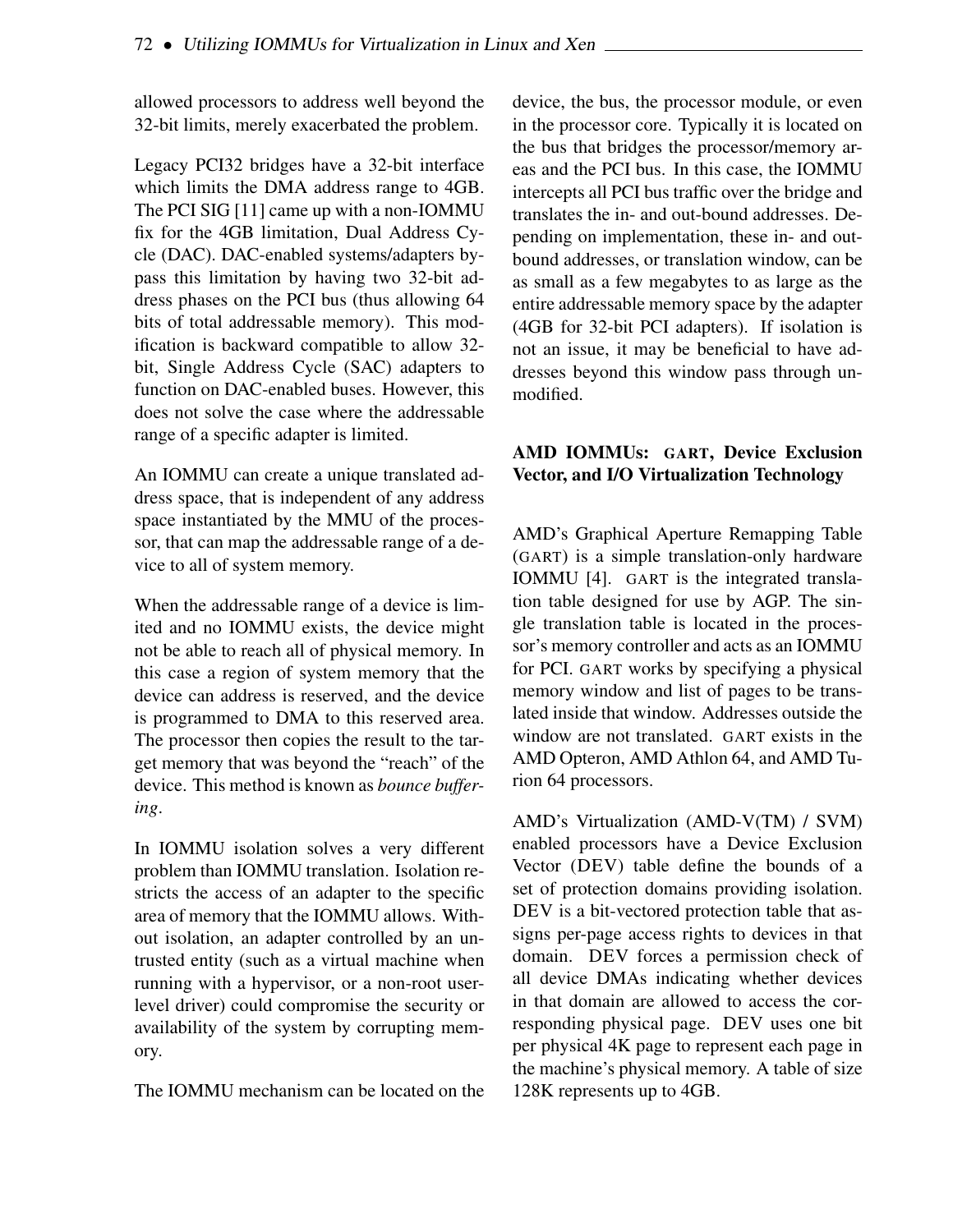allowed processors to address well beyond the 32-bit limits, merely exacerbated the problem.

Legacy PCI32 bridges have a 32-bit interface which limits the DMA address range to 4GB. The PCI SIG [11] came up with a non-IOMMU fix for the 4GB limitation, Dual Address Cycle (DAC). DAC-enabled systems/adapters bypass this limitation by having two 32-bit address phases on the PCI bus (thus allowing 64 bits of total addressable memory). This modification is backward compatible to allow 32 bit, Single Address Cycle (SAC) adapters to function on DAC-enabled buses. However, this does not solve the case where the addressable range of a specific adapter is limited.

An IOMMU can create a unique translated address space, that is independent of any address space instantiated by the MMU of the processor, that can map the addressable range of a device to all of system memory.

When the addressable range of a device is limited and no IOMMU exists, the device might not be able to reach all of physical memory. In this case a region of system memory that the device can address is reserved, and the device is programmed to DMA to this reserved area. The processor then copies the result to the target memory that was beyond the "reach" of the device. This method is known as *bounce buffering*.

In IOMMU isolation solves a very different problem than IOMMU translation. Isolation restricts the access of an adapter to the specific area of memory that the IOMMU allows. Without isolation, an adapter controlled by an untrusted entity (such as a virtual machine when running with a hypervisor, or a non-root userlevel driver) could compromise the security or availability of the system by corrupting memory.

The IOMMU mechanism can be located on the

device, the bus, the processor module, or even in the processor core. Typically it is located on the bus that bridges the processor/memory areas and the PCI bus. In this case, the IOMMU intercepts all PCI bus traffic over the bridge and translates the in- and out-bound addresses. Depending on implementation, these in- and outbound addresses, or translation window, can be as small as a few megabytes to as large as the entire addressable memory space by the adapter (4GB for 32-bit PCI adapters). If isolation is not an issue, it may be beneficial to have addresses beyond this window pass through unmodified.

#### AMD IOMMUs: GART, Device Exclusion Vector, and I/O Virtualization Technology

AMD's Graphical Aperture Remapping Table (GART) is a simple translation-only hardware IOMMU [4]. GART is the integrated translation table designed for use by AGP. The single translation table is located in the processor's memory controller and acts as an IOMMU for PCI. GART works by specifying a physical memory window and list of pages to be translated inside that window. Addresses outside the window are not translated. GART exists in the AMD Opteron, AMD Athlon 64, and AMD Turion 64 processors.

AMD's Virtualization (AMD-V(TM) / SVM) enabled processors have a Device Exclusion Vector (DEV) table define the bounds of a set of protection domains providing isolation. DEV is a bit-vectored protection table that assigns per-page access rights to devices in that domain. DEV forces a permission check of all device DMAs indicating whether devices in that domain are allowed to access the corresponding physical page. DEV uses one bit per physical 4K page to represent each page in the machine's physical memory. A table of size 128K represents up to 4GB.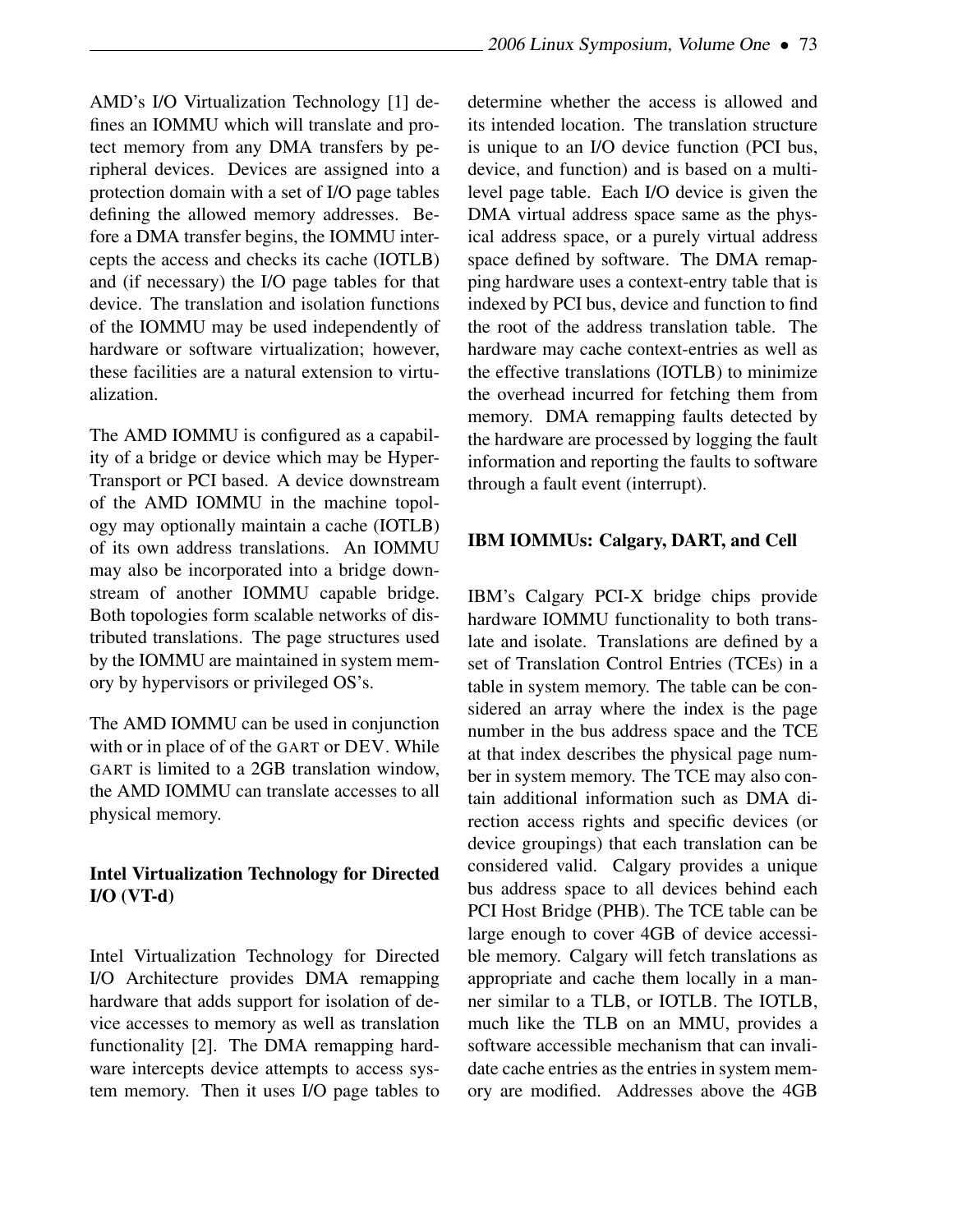AMD's I/O Virtualization Technology [1] defines an IOMMU which will translate and protect memory from any DMA transfers by peripheral devices. Devices are assigned into a protection domain with a set of I/O page tables defining the allowed memory addresses. Before a DMA transfer begins, the IOMMU intercepts the access and checks its cache (IOTLB) and (if necessary) the I/O page tables for that device. The translation and isolation functions of the IOMMU may be used independently of hardware or software virtualization; however, these facilities are a natural extension to virtualization.

The AMD IOMMU is configured as a capability of a bridge or device which may be Hyper-Transport or PCI based. A device downstream of the AMD IOMMU in the machine topology may optionally maintain a cache (IOTLB) of its own address translations. An IOMMU may also be incorporated into a bridge downstream of another IOMMU capable bridge. Both topologies form scalable networks of distributed translations. The page structures used by the IOMMU are maintained in system memory by hypervisors or privileged OS's.

The AMD IOMMU can be used in conjunction with or in place of of the GART or DEV. While GART is limited to a 2GB translation window, the AMD IOMMU can translate accesses to all physical memory.

#### Intel Virtualization Technology for Directed I/O (VT-d)

Intel Virtualization Technology for Directed I/O Architecture provides DMA remapping hardware that adds support for isolation of device accesses to memory as well as translation functionality [2]. The DMA remapping hardware intercepts device attempts to access system memory. Then it uses I/O page tables to determine whether the access is allowed and its intended location. The translation structure is unique to an I/O device function (PCI bus, device, and function) and is based on a multilevel page table. Each I/O device is given the DMA virtual address space same as the physical address space, or a purely virtual address space defined by software. The DMA remapping hardware uses a context-entry table that is indexed by PCI bus, device and function to find the root of the address translation table. The hardware may cache context-entries as well as the effective translations (IOTLB) to minimize the overhead incurred for fetching them from memory. DMA remapping faults detected by the hardware are processed by logging the fault information and reporting the faults to software through a fault event (interrupt).

#### IBM IOMMUs: Calgary, DART, and Cell

IBM's Calgary PCI-X bridge chips provide hardware IOMMU functionality to both translate and isolate. Translations are defined by a set of Translation Control Entries (TCEs) in a table in system memory. The table can be considered an array where the index is the page number in the bus address space and the TCE at that index describes the physical page number in system memory. The TCE may also contain additional information such as DMA direction access rights and specific devices (or device groupings) that each translation can be considered valid. Calgary provides a unique bus address space to all devices behind each PCI Host Bridge (PHB). The TCE table can be large enough to cover 4GB of device accessible memory. Calgary will fetch translations as appropriate and cache them locally in a manner similar to a TLB, or IOTLB. The IOTLB, much like the TLB on an MMU, provides a software accessible mechanism that can invalidate cache entries as the entries in system memory are modified. Addresses above the 4GB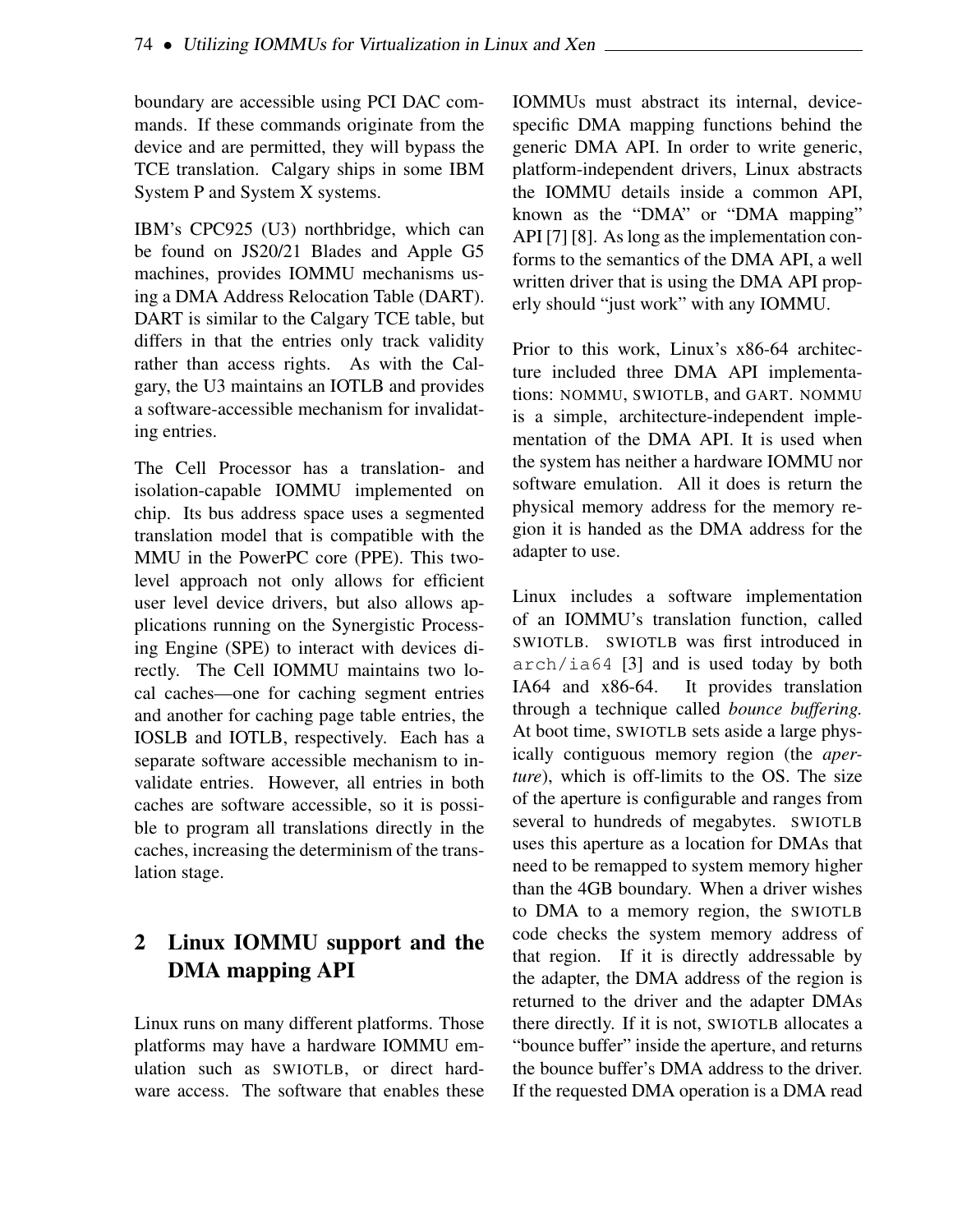boundary are accessible using PCI DAC commands. If these commands originate from the device and are permitted, they will bypass the TCE translation. Calgary ships in some IBM System P and System X systems.

IBM's CPC925 (U3) northbridge, which can be found on JS20/21 Blades and Apple G5 machines, provides IOMMU mechanisms using a DMA Address Relocation Table (DART). DART is similar to the Calgary TCE table, but differs in that the entries only track validity rather than access rights. As with the Calgary, the U3 maintains an IOTLB and provides a software-accessible mechanism for invalidating entries.

The Cell Processor has a translation- and isolation-capable IOMMU implemented on chip. Its bus address space uses a segmented translation model that is compatible with the MMU in the PowerPC core (PPE). This twolevel approach not only allows for efficient user level device drivers, but also allows applications running on the Synergistic Processing Engine (SPE) to interact with devices directly. The Cell IOMMU maintains two local caches—one for caching segment entries and another for caching page table entries, the IOSLB and IOTLB, respectively. Each has a separate software accessible mechanism to invalidate entries. However, all entries in both caches are software accessible, so it is possible to program all translations directly in the caches, increasing the determinism of the translation stage.

# 2 Linux IOMMU support and the DMA mapping API

Linux runs on many different platforms. Those platforms may have a hardware IOMMU emulation such as SWIOTLB, or direct hardware access. The software that enables these IOMMUs must abstract its internal, devicespecific DMA mapping functions behind the generic DMA API. In order to write generic, platform-independent drivers, Linux abstracts the IOMMU details inside a common API, known as the "DMA" or "DMA mapping" API [7] [8]. As long as the implementation conforms to the semantics of the DMA API, a well written driver that is using the DMA API properly should "just work" with any IOMMU.

Prior to this work, Linux's x86-64 architecture included three DMA API implementations: NOMMU, SWIOTLB, and GART. NOMMU is a simple, architecture-independent implementation of the DMA API. It is used when the system has neither a hardware IOMMU nor software emulation. All it does is return the physical memory address for the memory region it is handed as the DMA address for the adapter to use.

Linux includes a software implementation of an IOMMU's translation function, called SWIOTLB. SWIOTLB was first introduced in  $arch/ia64$  [3] and is used today by both IA64 and  $x86-64$ . It provides translation It provides translation through a technique called *bounce buffering.* At boot time, SWIOTLB sets aside a large physically contiguous memory region (the *aperture*), which is off-limits to the OS. The size of the aperture is configurable and ranges from several to hundreds of megabytes. SWIOTLB uses this aperture as a location for DMAs that need to be remapped to system memory higher than the 4GB boundary. When a driver wishes to DMA to a memory region, the SWIOTLB code checks the system memory address of that region. If it is directly addressable by the adapter, the DMA address of the region is returned to the driver and the adapter DMAs there directly. If it is not, SWIOTLB allocates a "bounce buffer" inside the aperture, and returns the bounce buffer's DMA address to the driver. If the requested DMA operation is a DMA read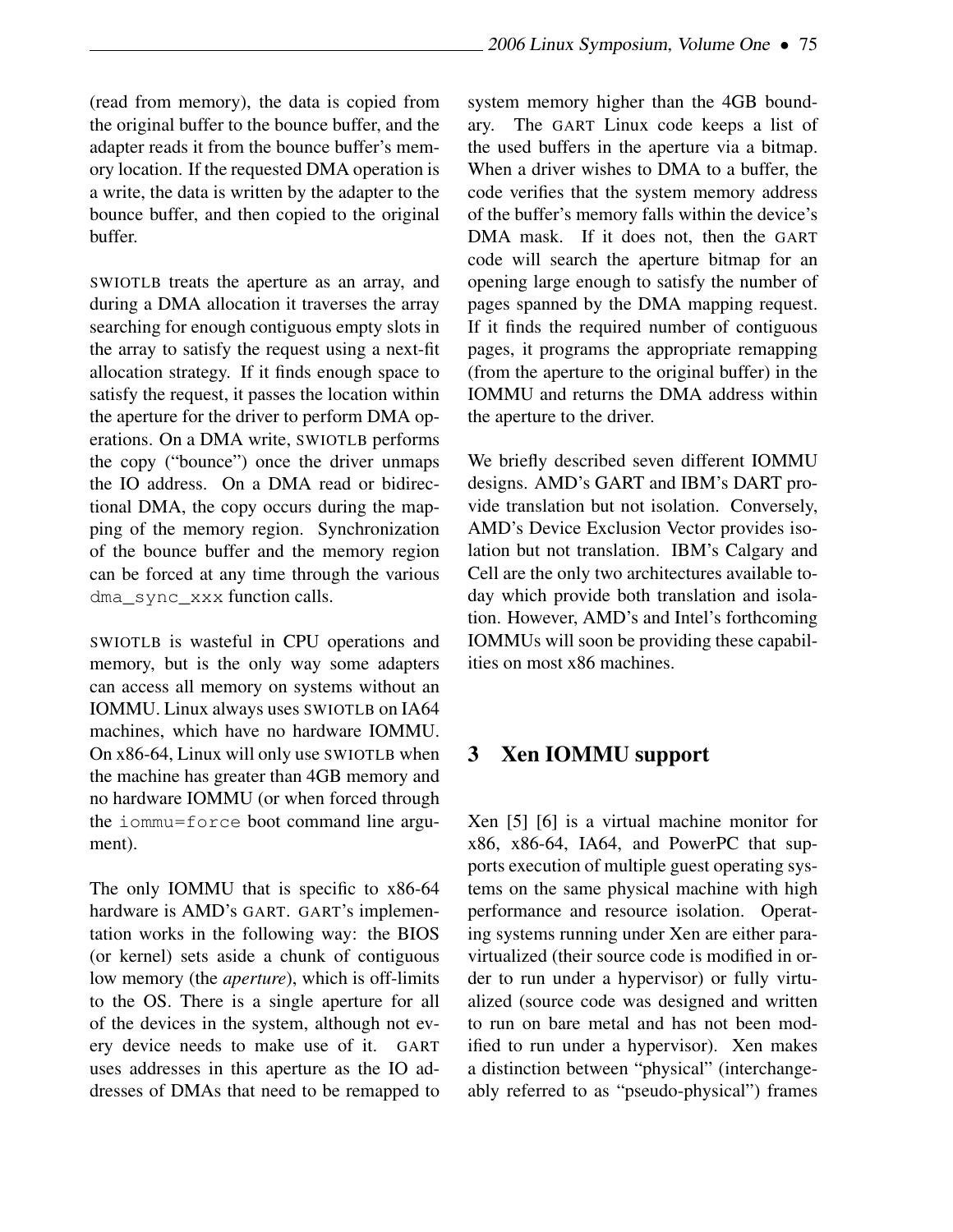(read from memory), the data is copied from the original buffer to the bounce buffer, and the adapter reads it from the bounce buffer's memory location. If the requested DMA operation is a write, the data is written by the adapter to the bounce buffer, and then copied to the original buffer.

SWIOTLB treats the aperture as an array, and during a DMA allocation it traverses the array searching for enough contiguous empty slots in the array to satisfy the request using a next-fit allocation strategy. If it finds enough space to satisfy the request, it passes the location within the aperture for the driver to perform DMA operations. On a DMA write, SWIOTLB performs the copy ("bounce") once the driver unmaps the IO address. On a DMA read or bidirectional DMA, the copy occurs during the mapping of the memory region. Synchronization of the bounce buffer and the memory region can be forced at any time through the various dma\_sync\_xxx function calls.

SWIOTLB is wasteful in CPU operations and memory, but is the only way some adapters can access all memory on systems without an IOMMU. Linux always uses SWIOTLB on IA64 machines, which have no hardware IOMMU. On x86-64, Linux will only use SWIOTLB when the machine has greater than 4GB memory and no hardware IOMMU (or when forced through the iommu=force boot command line argument).

The only IOMMU that is specific to x86-64 hardware is AMD's GART. GART's implementation works in the following way: the BIOS (or kernel) sets aside a chunk of contiguous low memory (the *aperture*), which is off-limits to the OS. There is a single aperture for all of the devices in the system, although not every device needs to make use of it. GART uses addresses in this aperture as the IO addresses of DMAs that need to be remapped to system memory higher than the 4GB boundary. The GART Linux code keeps a list of the used buffers in the aperture via a bitmap. When a driver wishes to DMA to a buffer, the code verifies that the system memory address of the buffer's memory falls within the device's DMA mask. If it does not, then the GART code will search the aperture bitmap for an opening large enough to satisfy the number of pages spanned by the DMA mapping request. If it finds the required number of contiguous pages, it programs the appropriate remapping (from the aperture to the original buffer) in the IOMMU and returns the DMA address within the aperture to the driver.

We briefly described seven different IOMMU designs. AMD's GART and IBM's DART provide translation but not isolation. Conversely, AMD's Device Exclusion Vector provides isolation but not translation. IBM's Calgary and Cell are the only two architectures available today which provide both translation and isolation. However, AMD's and Intel's forthcoming IOMMUs will soon be providing these capabilities on most x86 machines.

## 3 Xen IOMMU support

Xen [5] [6] is a virtual machine monitor for x86, x86-64, IA64, and PowerPC that supports execution of multiple guest operating systems on the same physical machine with high performance and resource isolation. Operating systems running under Xen are either paravirtualized (their source code is modified in order to run under a hypervisor) or fully virtualized (source code was designed and written to run on bare metal and has not been modified to run under a hypervisor). Xen makes a distinction between "physical" (interchangeably referred to as "pseudo-physical") frames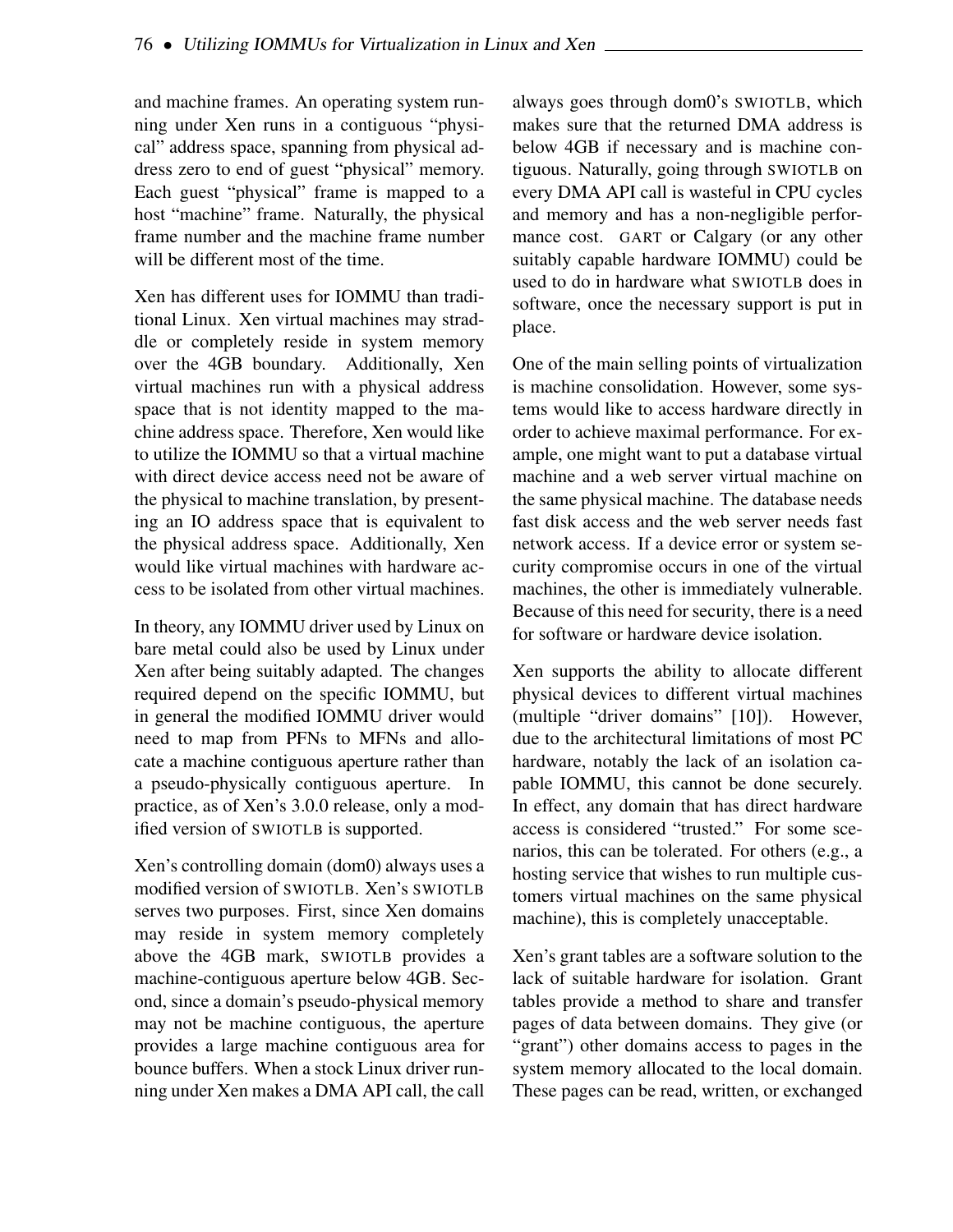and machine frames. An operating system running under Xen runs in a contiguous "physical" address space, spanning from physical address zero to end of guest "physical" memory. Each guest "physical" frame is mapped to a host "machine" frame. Naturally, the physical frame number and the machine frame number will be different most of the time.

Xen has different uses for IOMMU than traditional Linux. Xen virtual machines may straddle or completely reside in system memory over the 4GB boundary. Additionally, Xen virtual machines run with a physical address space that is not identity mapped to the machine address space. Therefore, Xen would like to utilize the IOMMU so that a virtual machine with direct device access need not be aware of the physical to machine translation, by presenting an IO address space that is equivalent to the physical address space. Additionally, Xen would like virtual machines with hardware access to be isolated from other virtual machines.

In theory, any IOMMU driver used by Linux on bare metal could also be used by Linux under Xen after being suitably adapted. The changes required depend on the specific IOMMU, but in general the modified IOMMU driver would need to map from PFNs to MFNs and allocate a machine contiguous aperture rather than a pseudo-physically contiguous aperture. In practice, as of Xen's 3.0.0 release, only a modified version of SWIOTLB is supported.

Xen's controlling domain (dom0) always uses a modified version of SWIOTLB. Xen's SWIOTLB serves two purposes. First, since Xen domains may reside in system memory completely above the 4GB mark, SWIOTLB provides a machine-contiguous aperture below 4GB. Second, since a domain's pseudo-physical memory may not be machine contiguous, the aperture provides a large machine contiguous area for bounce buffers. When a stock Linux driver running under Xen makes a DMA API call, the call

always goes through dom0's SWIOTLB, which makes sure that the returned DMA address is below 4GB if necessary and is machine contiguous. Naturally, going through SWIOTLB on every DMA API call is wasteful in CPU cycles and memory and has a non-negligible performance cost. GART or Calgary (or any other suitably capable hardware IOMMU) could be used to do in hardware what SWIOTLB does in software, once the necessary support is put in place.

One of the main selling points of virtualization is machine consolidation. However, some systems would like to access hardware directly in order to achieve maximal performance. For example, one might want to put a database virtual machine and a web server virtual machine on the same physical machine. The database needs fast disk access and the web server needs fast network access. If a device error or system security compromise occurs in one of the virtual machines, the other is immediately vulnerable. Because of this need for security, there is a need for software or hardware device isolation.

Xen supports the ability to allocate different physical devices to different virtual machines (multiple "driver domains" [10]). However, due to the architectural limitations of most PC hardware, notably the lack of an isolation capable IOMMU, this cannot be done securely. In effect, any domain that has direct hardware access is considered "trusted." For some scenarios, this can be tolerated. For others (e.g., a hosting service that wishes to run multiple customers virtual machines on the same physical machine), this is completely unacceptable.

Xen's grant tables are a software solution to the lack of suitable hardware for isolation. Grant tables provide a method to share and transfer pages of data between domains. They give (or "grant") other domains access to pages in the system memory allocated to the local domain. These pages can be read, written, or exchanged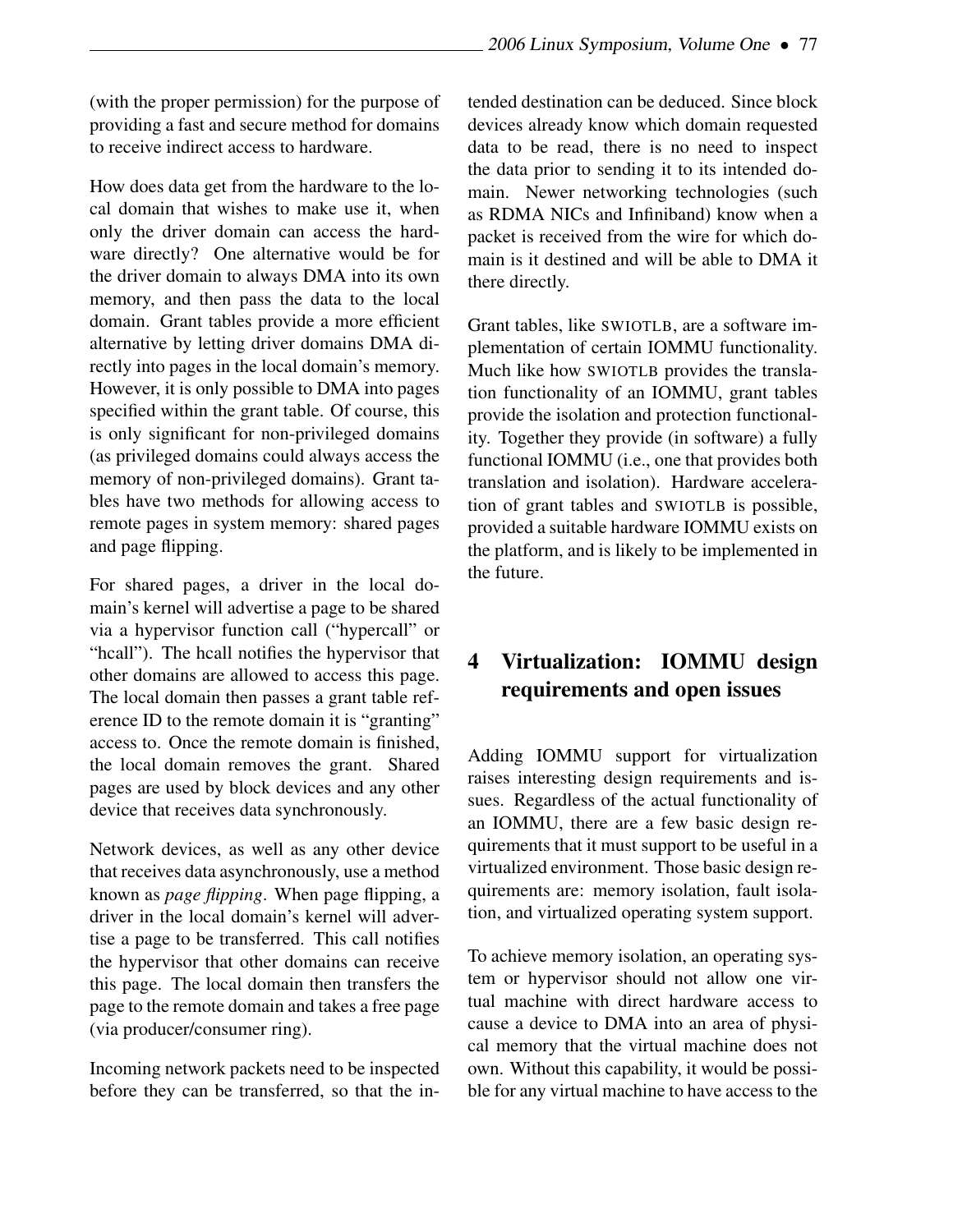(with the proper permission) for the purpose of providing a fast and secure method for domains to receive indirect access to hardware.

How does data get from the hardware to the local domain that wishes to make use it, when only the driver domain can access the hardware directly? One alternative would be for the driver domain to always DMA into its own memory, and then pass the data to the local domain. Grant tables provide a more efficient alternative by letting driver domains DMA directly into pages in the local domain's memory. However, it is only possible to DMA into pages specified within the grant table. Of course, this is only significant for non-privileged domains (as privileged domains could always access the memory of non-privileged domains). Grant tables have two methods for allowing access to remote pages in system memory: shared pages and page flipping.

For shared pages, a driver in the local domain's kernel will advertise a page to be shared via a hypervisor function call ("hypercall" or "hcall"). The hcall notifies the hypervisor that other domains are allowed to access this page. The local domain then passes a grant table reference ID to the remote domain it is "granting" access to. Once the remote domain is finished, the local domain removes the grant. Shared pages are used by block devices and any other device that receives data synchronously.

Network devices, as well as any other device that receives data asynchronously, use a method known as *page flipping*. When page flipping, a driver in the local domain's kernel will advertise a page to be transferred. This call notifies the hypervisor that other domains can receive this page. The local domain then transfers the page to the remote domain and takes a free page (via producer/consumer ring).

Incoming network packets need to be inspected before they can be transferred, so that the intended destination can be deduced. Since block devices already know which domain requested data to be read, there is no need to inspect the data prior to sending it to its intended domain. Newer networking technologies (such as RDMA NICs and Infiniband) know when a packet is received from the wire for which domain is it destined and will be able to DMA it there directly.

Grant tables, like SWIOTLB, are a software implementation of certain IOMMU functionality. Much like how SWIOTLB provides the translation functionality of an IOMMU, grant tables provide the isolation and protection functionality. Together they provide (in software) a fully functional IOMMU (i.e., one that provides both translation and isolation). Hardware acceleration of grant tables and SWIOTLB is possible, provided a suitable hardware IOMMU exists on the platform, and is likely to be implemented in the future.

## 4 Virtualization: IOMMU design requirements and open issues

Adding IOMMU support for virtualization raises interesting design requirements and issues. Regardless of the actual functionality of an IOMMU, there are a few basic design requirements that it must support to be useful in a virtualized environment. Those basic design requirements are: memory isolation, fault isolation, and virtualized operating system support.

To achieve memory isolation, an operating system or hypervisor should not allow one virtual machine with direct hardware access to cause a device to DMA into an area of physical memory that the virtual machine does not own. Without this capability, it would be possible for any virtual machine to have access to the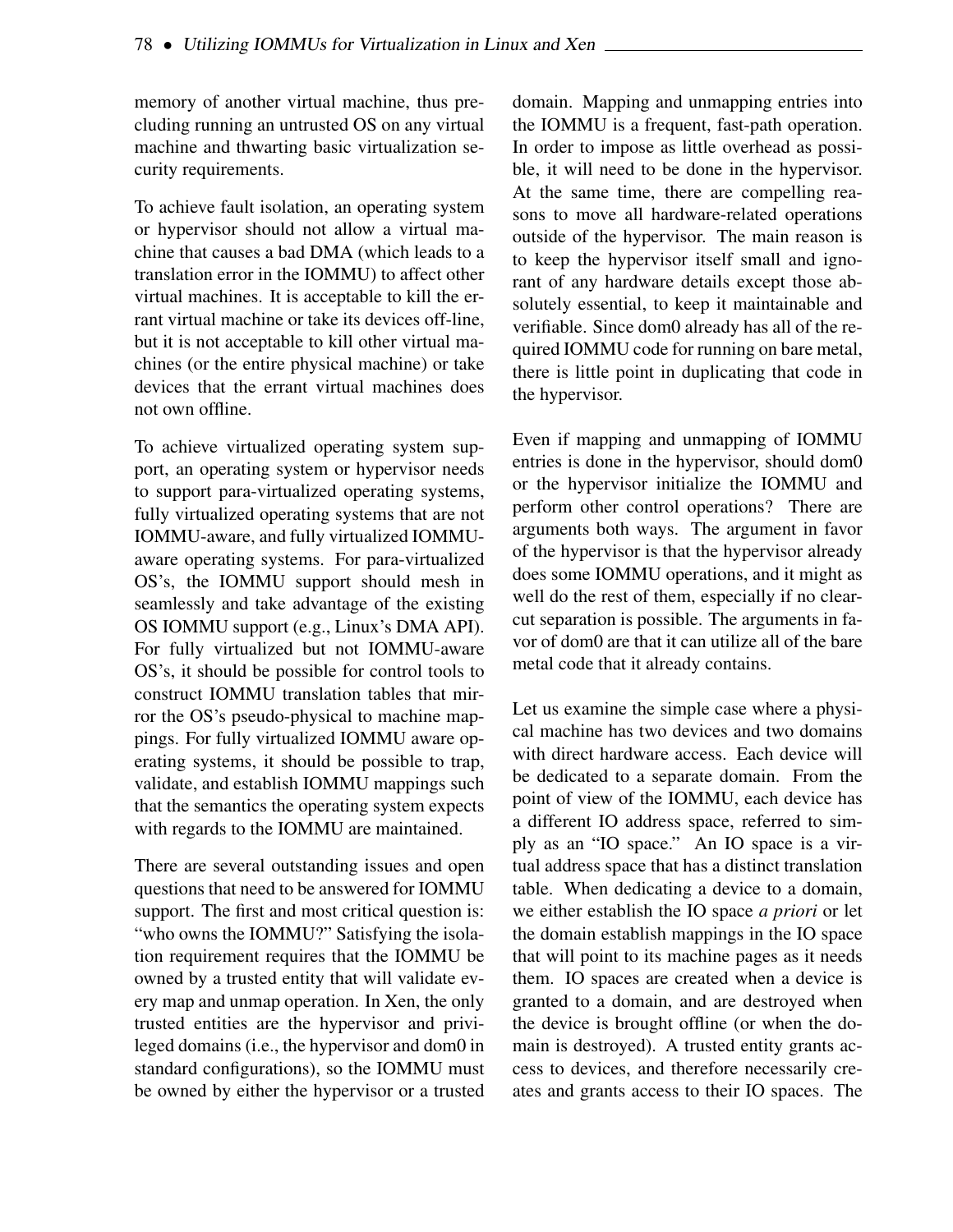memory of another virtual machine, thus precluding running an untrusted OS on any virtual machine and thwarting basic virtualization security requirements.

To achieve fault isolation, an operating system or hypervisor should not allow a virtual machine that causes a bad DMA (which leads to a translation error in the IOMMU) to affect other virtual machines. It is acceptable to kill the errant virtual machine or take its devices off-line, but it is not acceptable to kill other virtual machines (or the entire physical machine) or take devices that the errant virtual machines does not own offline.

To achieve virtualized operating system support, an operating system or hypervisor needs to support para-virtualized operating systems, fully virtualized operating systems that are not IOMMU-aware, and fully virtualized IOMMUaware operating systems. For para-virtualized OS's, the IOMMU support should mesh in seamlessly and take advantage of the existing OS IOMMU support (e.g., Linux's DMA API). For fully virtualized but not IOMMU-aware OS's, it should be possible for control tools to construct IOMMU translation tables that mirror the OS's pseudo-physical to machine mappings. For fully virtualized IOMMU aware operating systems, it should be possible to trap, validate, and establish IOMMU mappings such that the semantics the operating system expects with regards to the IOMMU are maintained.

There are several outstanding issues and open questions that need to be answered for IOMMU support. The first and most critical question is: "who owns the IOMMU?" Satisfying the isolation requirement requires that the IOMMU be owned by a trusted entity that will validate every map and unmap operation. In Xen, the only trusted entities are the hypervisor and privileged domains (i.e., the hypervisor and dom0 in standard configurations), so the IOMMU must be owned by either the hypervisor or a trusted

domain. Mapping and unmapping entries into the IOMMU is a frequent, fast-path operation. In order to impose as little overhead as possible, it will need to be done in the hypervisor. At the same time, there are compelling reasons to move all hardware-related operations outside of the hypervisor. The main reason is to keep the hypervisor itself small and ignorant of any hardware details except those absolutely essential, to keep it maintainable and verifiable. Since dom0 already has all of the required IOMMU code for running on bare metal, there is little point in duplicating that code in the hypervisor.

Even if mapping and unmapping of IOMMU entries is done in the hypervisor, should dom0 or the hypervisor initialize the IOMMU and perform other control operations? There are arguments both ways. The argument in favor of the hypervisor is that the hypervisor already does some IOMMU operations, and it might as well do the rest of them, especially if no clearcut separation is possible. The arguments in favor of dom0 are that it can utilize all of the bare metal code that it already contains.

Let us examine the simple case where a physical machine has two devices and two domains with direct hardware access. Each device will be dedicated to a separate domain. From the point of view of the IOMMU, each device has a different IO address space, referred to simply as an "IO space." An IO space is a virtual address space that has a distinct translation table. When dedicating a device to a domain, we either establish the IO space *a priori* or let the domain establish mappings in the IO space that will point to its machine pages as it needs them. IO spaces are created when a device is granted to a domain, and are destroyed when the device is brought offline (or when the domain is destroyed). A trusted entity grants access to devices, and therefore necessarily creates and grants access to their IO spaces. The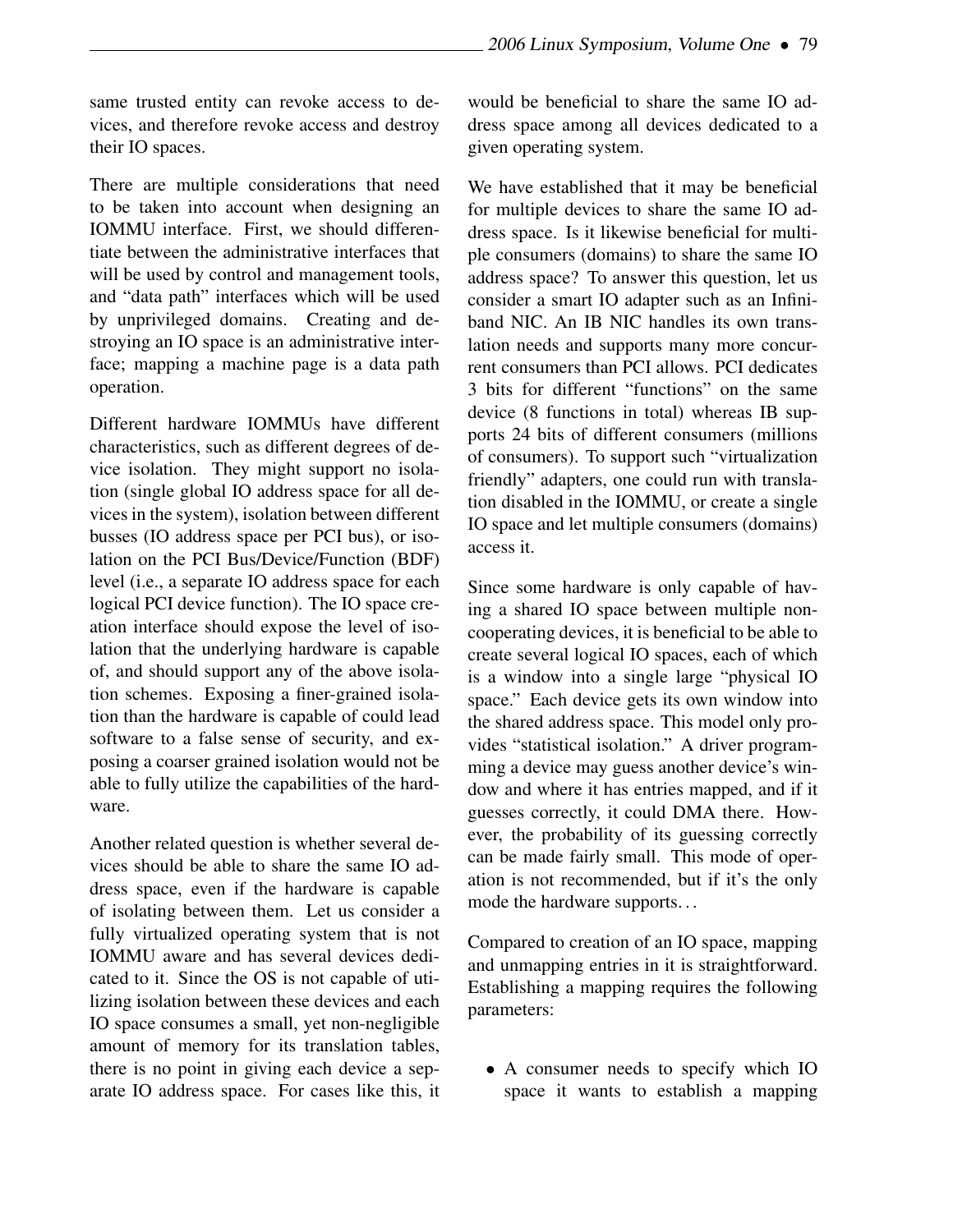same trusted entity can revoke access to devices, and therefore revoke access and destroy their IO spaces.

There are multiple considerations that need to be taken into account when designing an IOMMU interface. First, we should differentiate between the administrative interfaces that will be used by control and management tools, and "data path" interfaces which will be used by unprivileged domains. Creating and destroying an IO space is an administrative interface; mapping a machine page is a data path operation.

Different hardware IOMMUs have different characteristics, such as different degrees of device isolation. They might support no isolation (single global IO address space for all devices in the system), isolation between different busses (IO address space per PCI bus), or isolation on the PCI Bus/Device/Function (BDF) level (i.e., a separate IO address space for each logical PCI device function). The IO space creation interface should expose the level of isolation that the underlying hardware is capable of, and should support any of the above isolation schemes. Exposing a finer-grained isolation than the hardware is capable of could lead software to a false sense of security, and exposing a coarser grained isolation would not be able to fully utilize the capabilities of the hardware.

Another related question is whether several devices should be able to share the same IO address space, even if the hardware is capable of isolating between them. Let us consider a fully virtualized operating system that is not IOMMU aware and has several devices dedicated to it. Since the OS is not capable of utilizing isolation between these devices and each IO space consumes a small, yet non-negligible amount of memory for its translation tables, there is no point in giving each device a separate IO address space. For cases like this, it would be beneficial to share the same IO address space among all devices dedicated to a given operating system.

We have established that it may be beneficial for multiple devices to share the same IO address space. Is it likewise beneficial for multiple consumers (domains) to share the same IO address space? To answer this question, let us consider a smart IO adapter such as an Infiniband NIC. An IB NIC handles its own translation needs and supports many more concurrent consumers than PCI allows. PCI dedicates 3 bits for different "functions" on the same device (8 functions in total) whereas IB supports 24 bits of different consumers (millions of consumers). To support such "virtualization friendly" adapters, one could run with translation disabled in the IOMMU, or create a single IO space and let multiple consumers (domains) access it.

Since some hardware is only capable of having a shared IO space between multiple noncooperating devices, it is beneficial to be able to create several logical IO spaces, each of which is a window into a single large "physical IO space." Each device gets its own window into the shared address space. This model only provides "statistical isolation." A driver programming a device may guess another device's window and where it has entries mapped, and if it guesses correctly, it could DMA there. However, the probability of its guessing correctly can be made fairly small. This mode of operation is not recommended, but if it's the only mode the hardware supports. . .

Compared to creation of an IO space, mapping and unmapping entries in it is straightforward. Establishing a mapping requires the following parameters:

• A consumer needs to specify which IO space it wants to establish a mapping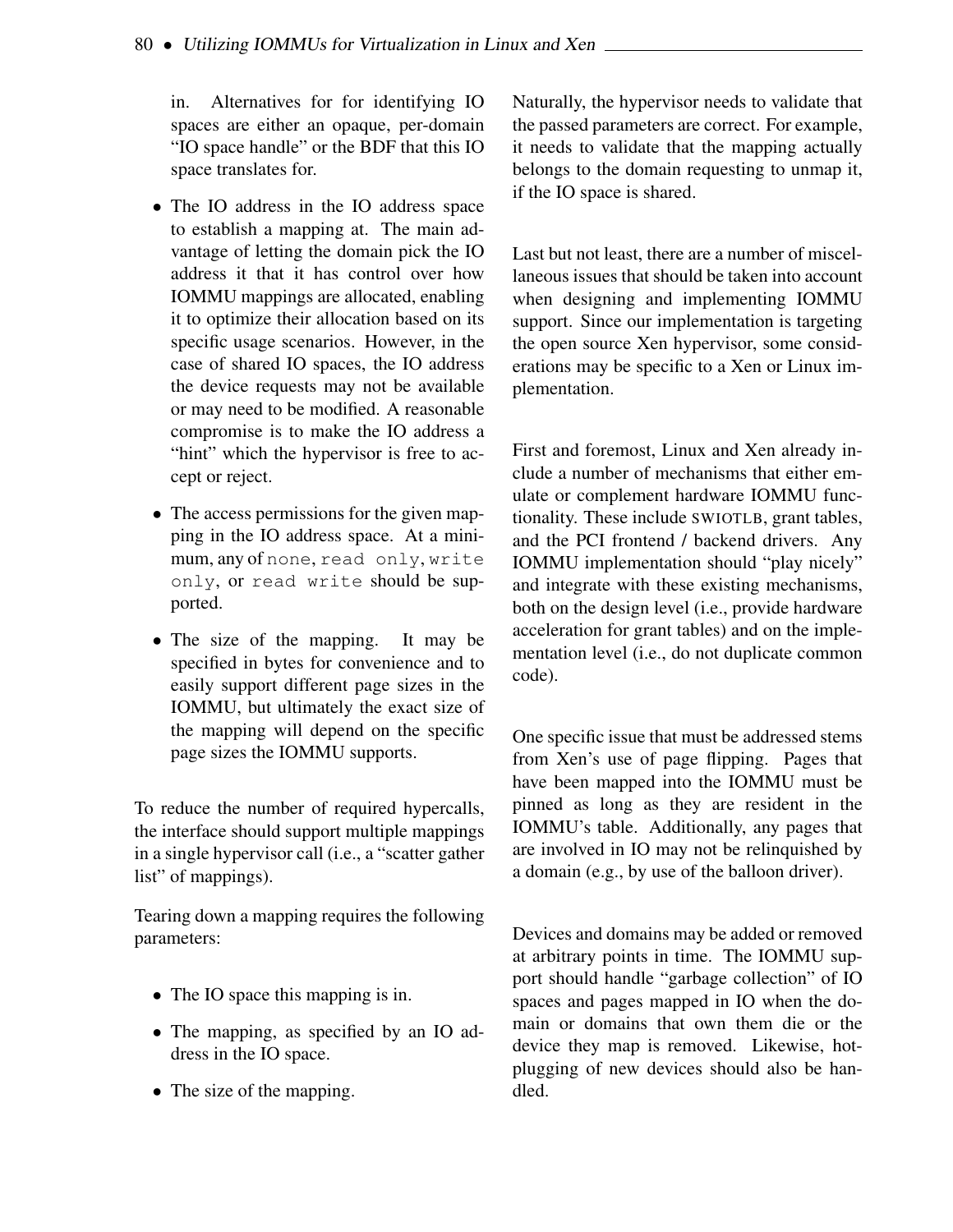in. Alternatives for for identifying IO spaces are either an opaque, per-domain "IO space handle" or the BDF that this IO space translates for.

- The IO address in the IO address space to establish a mapping at. The main advantage of letting the domain pick the IO address it that it has control over how IOMMU mappings are allocated, enabling it to optimize their allocation based on its specific usage scenarios. However, in the case of shared IO spaces, the IO address the device requests may not be available or may need to be modified. A reasonable compromise is to make the IO address a "hint" which the hypervisor is free to accept or reject.
- The access permissions for the given mapping in the IO address space. At a minimum, any of none, read only, write only, or read write should be supported.
- The size of the mapping. It may be specified in bytes for convenience and to easily support different page sizes in the IOMMU, but ultimately the exact size of the mapping will depend on the specific page sizes the IOMMU supports.

To reduce the number of required hypercalls, the interface should support multiple mappings in a single hypervisor call (i.e., a "scatter gather list" of mappings).

Tearing down a mapping requires the following parameters:

- The IO space this mapping is in.
- The mapping, as specified by an IO address in the IO space.
- The size of the mapping.

Naturally, the hypervisor needs to validate that the passed parameters are correct. For example, it needs to validate that the mapping actually belongs to the domain requesting to unmap it, if the IO space is shared.

Last but not least, there are a number of miscellaneous issues that should be taken into account when designing and implementing IOMMU support. Since our implementation is targeting the open source Xen hypervisor, some considerations may be specific to a Xen or Linux implementation.

First and foremost, Linux and Xen already include a number of mechanisms that either emulate or complement hardware IOMMU functionality. These include SWIOTLB, grant tables, and the PCI frontend / backend drivers. Any IOMMU implementation should "play nicely" and integrate with these existing mechanisms, both on the design level (i.e., provide hardware acceleration for grant tables) and on the implementation level (i.e., do not duplicate common code).

One specific issue that must be addressed stems from Xen's use of page flipping. Pages that have been mapped into the IOMMU must be pinned as long as they are resident in the IOMMU's table. Additionally, any pages that are involved in IO may not be relinquished by a domain (e.g., by use of the balloon driver).

Devices and domains may be added or removed at arbitrary points in time. The IOMMU support should handle "garbage collection" of IO spaces and pages mapped in IO when the domain or domains that own them die or the device they map is removed. Likewise, hotplugging of new devices should also be handled.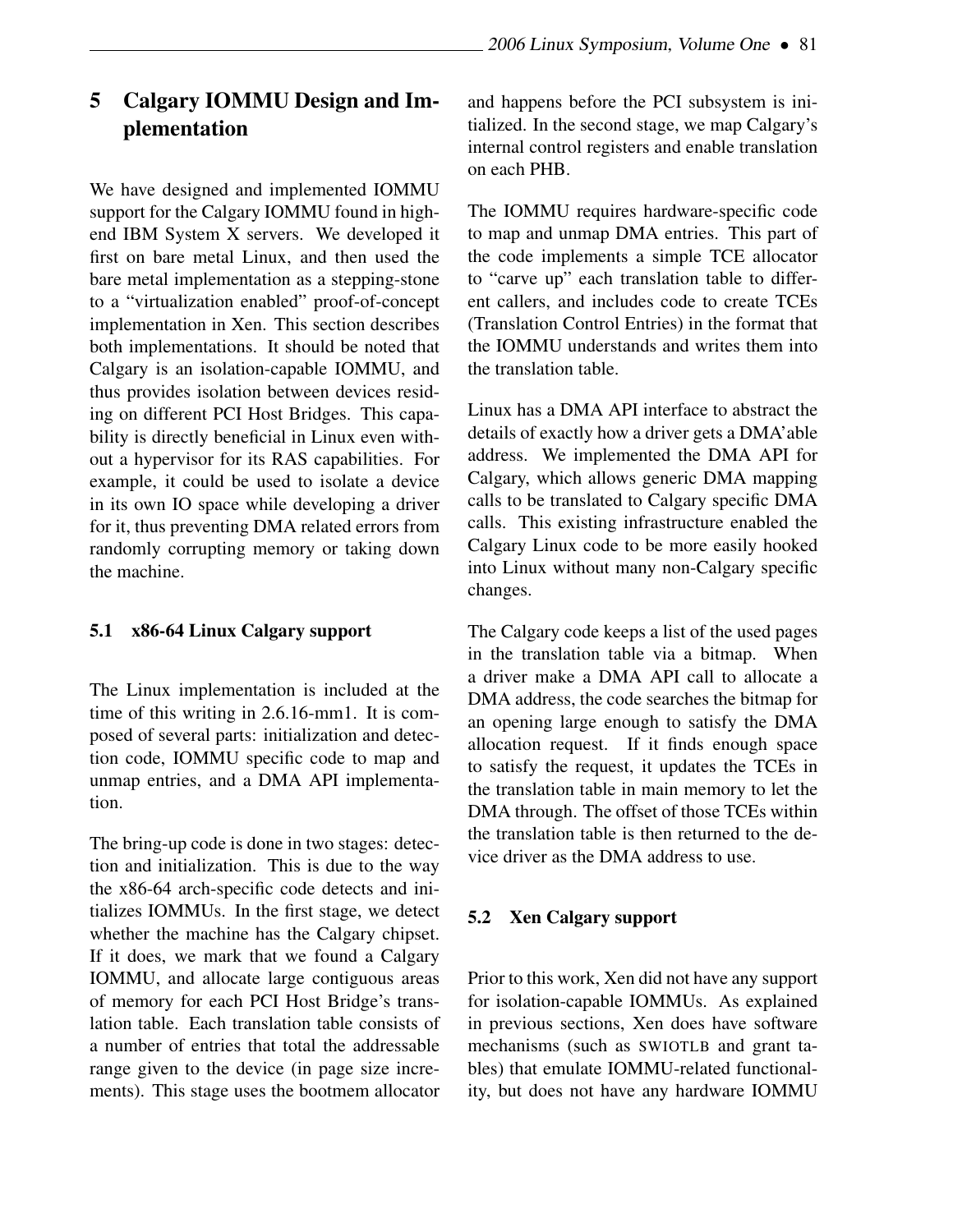# 5 Calgary IOMMU Design and Implementation

We have designed and implemented IOMMU support for the Calgary IOMMU found in highend IBM System X servers. We developed it first on bare metal Linux, and then used the bare metal implementation as a stepping-stone to a "virtualization enabled" proof-of-concept implementation in Xen. This section describes both implementations. It should be noted that Calgary is an isolation-capable IOMMU, and thus provides isolation between devices residing on different PCI Host Bridges. This capability is directly beneficial in Linux even without a hypervisor for its RAS capabilities. For example, it could be used to isolate a device in its own IO space while developing a driver for it, thus preventing DMA related errors from randomly corrupting memory or taking down the machine.

#### 5.1 x86-64 Linux Calgary support

The Linux implementation is included at the time of this writing in 2.6.16-mm1. It is composed of several parts: initialization and detection code, IOMMU specific code to map and unmap entries, and a DMA API implementation.

The bring-up code is done in two stages: detection and initialization. This is due to the way the x86-64 arch-specific code detects and initializes IOMMUs. In the first stage, we detect whether the machine has the Calgary chipset. If it does, we mark that we found a Calgary IOMMU, and allocate large contiguous areas of memory for each PCI Host Bridge's translation table. Each translation table consists of a number of entries that total the addressable range given to the device (in page size increments). This stage uses the bootmem allocator

and happens before the PCI subsystem is initialized. In the second stage, we map Calgary's internal control registers and enable translation on each PHB.

The IOMMU requires hardware-specific code to map and unmap DMA entries. This part of the code implements a simple TCE allocator to "carve up" each translation table to different callers, and includes code to create TCEs (Translation Control Entries) in the format that the IOMMU understands and writes them into the translation table.

Linux has a DMA API interface to abstract the details of exactly how a driver gets a DMA'able address. We implemented the DMA API for Calgary, which allows generic DMA mapping calls to be translated to Calgary specific DMA calls. This existing infrastructure enabled the Calgary Linux code to be more easily hooked into Linux without many non-Calgary specific changes.

The Calgary code keeps a list of the used pages in the translation table via a bitmap. When a driver make a DMA API call to allocate a DMA address, the code searches the bitmap for an opening large enough to satisfy the DMA allocation request. If it finds enough space to satisfy the request, it updates the TCEs in the translation table in main memory to let the DMA through. The offset of those TCEs within the translation table is then returned to the device driver as the DMA address to use.

#### 5.2 Xen Calgary support

Prior to this work, Xen did not have any support for isolation-capable IOMMUs. As explained in previous sections, Xen does have software mechanisms (such as SWIOTLB and grant tables) that emulate IOMMU-related functionality, but does not have any hardware IOMMU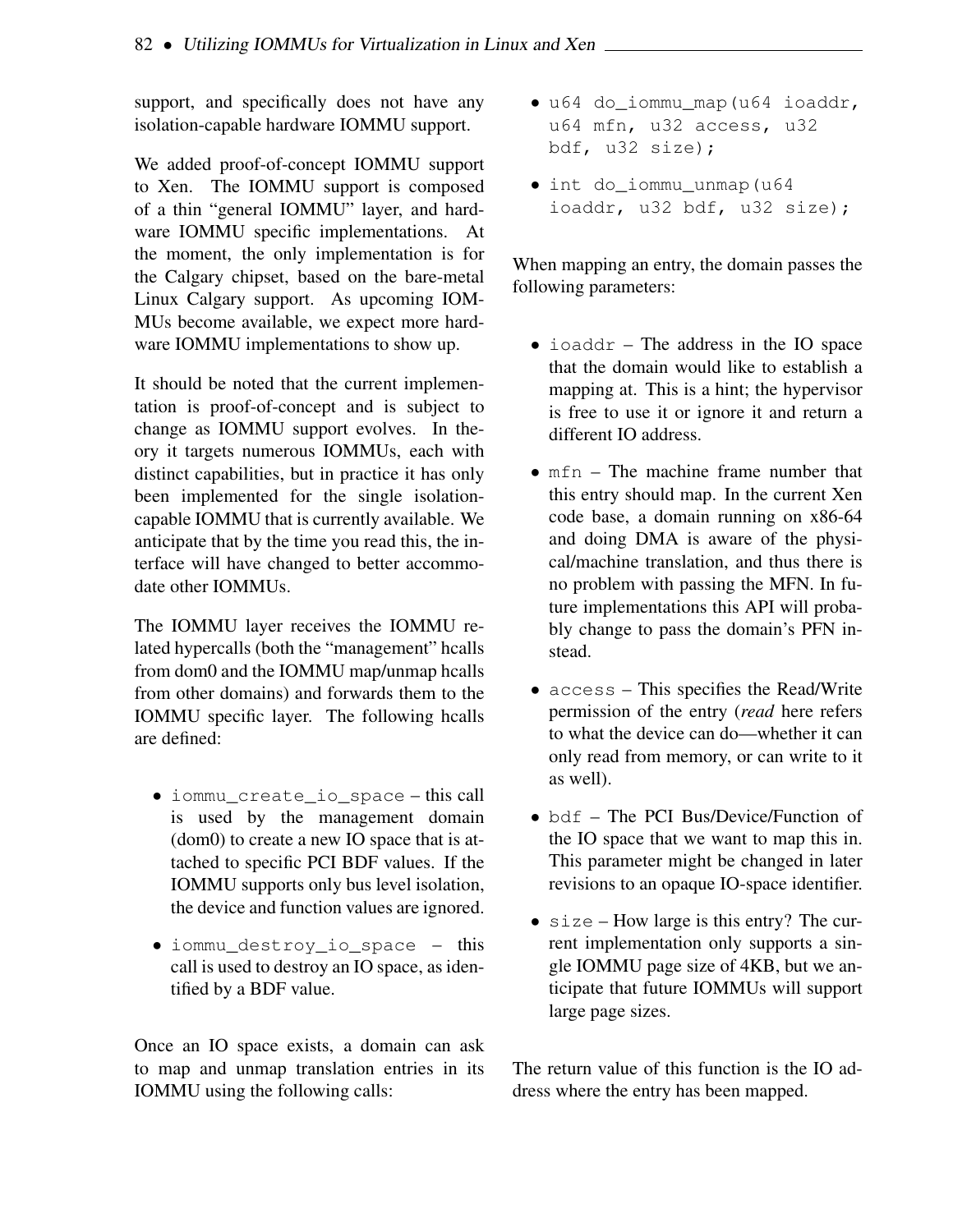support, and specifically does not have any isolation-capable hardware IOMMU support.

We added proof-of-concept IOMMU support to Xen. The IOMMU support is composed of a thin "general IOMMU" layer, and hardware IOMMU specific implementations. At the moment, the only implementation is for the Calgary chipset, based on the bare-metal Linux Calgary support. As upcoming IOM-MUs become available, we expect more hardware IOMMU implementations to show up.

It should be noted that the current implementation is proof-of-concept and is subject to change as IOMMU support evolves. In theory it targets numerous IOMMUs, each with distinct capabilities, but in practice it has only been implemented for the single isolationcapable IOMMU that is currently available. We anticipate that by the time you read this, the interface will have changed to better accommodate other IOMMUs.

The IOMMU layer receives the IOMMU related hypercalls (both the "management" hcalls from dom0 and the IOMMU map/unmap hcalls from other domains) and forwards them to the IOMMU specific layer. The following hcalls are defined:

- iommu\_create\_io\_space this call is used by the management domain (dom0) to create a new IO space that is attached to specific PCI BDF values. If the IOMMU supports only bus level isolation, the device and function values are ignored.
- iommu\_destroy\_io\_space this call is used to destroy an IO space, as identified by a BDF value.

Once an IO space exists, a domain can ask to map and unmap translation entries in its IOMMU using the following calls:

- u64 do\_iommu\_map(u64 ioaddr, u64 mfn, u32 access, u32 bdf, u32 size);
- int do\_iommu\_unmap(u64 ioaddr, u32 bdf, u32 size);

When mapping an entry, the domain passes the following parameters:

- ioaddr The address in the IO space that the domain would like to establish a mapping at. This is a hint; the hypervisor is free to use it or ignore it and return a different IO address.
- $mfn$  The machine frame number that this entry should map. In the current Xen code base, a domain running on x86-64 and doing DMA is aware of the physical/machine translation, and thus there is no problem with passing the MFN. In future implementations this API will probably change to pass the domain's PFN instead.
- access This specifies the Read/Write permission of the entry (*read* here refers to what the device can do—whether it can only read from memory, or can write to it as well).
- bdf The PCI Bus/Device/Function of the IO space that we want to map this in. This parameter might be changed in later revisions to an opaque IO-space identifier.
- size How large is this entry? The current implementation only supports a single IOMMU page size of 4KB, but we anticipate that future IOMMUs will support large page sizes.

The return value of this function is the IO address where the entry has been mapped.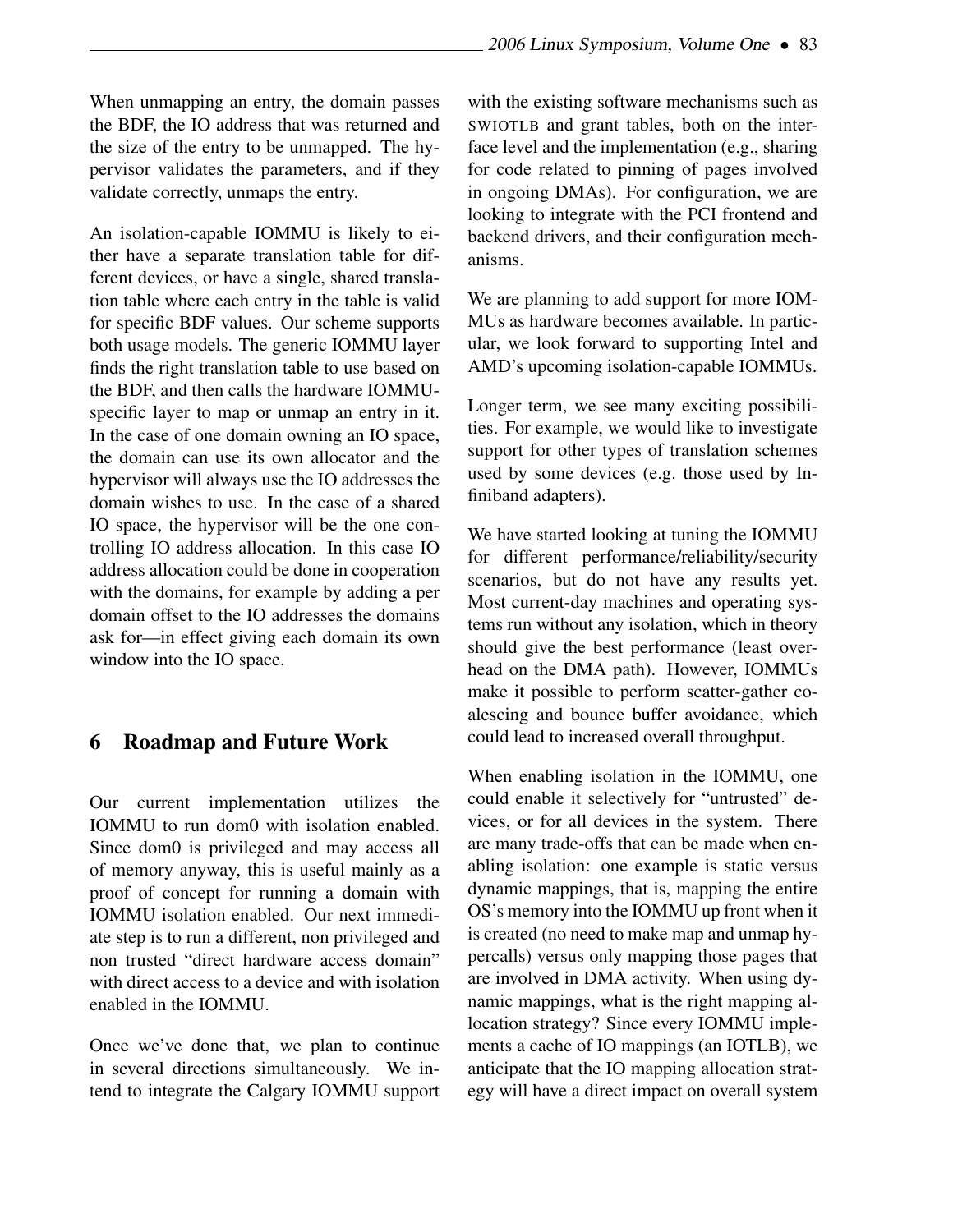When unmapping an entry, the domain passes the BDF, the IO address that was returned and the size of the entry to be unmapped. The hypervisor validates the parameters, and if they validate correctly, unmaps the entry.

An isolation-capable IOMMU is likely to either have a separate translation table for different devices, or have a single, shared translation table where each entry in the table is valid for specific BDF values. Our scheme supports both usage models. The generic IOMMU layer finds the right translation table to use based on the BDF, and then calls the hardware IOMMUspecific layer to map or unmap an entry in it. In the case of one domain owning an IO space, the domain can use its own allocator and the hypervisor will always use the IO addresses the domain wishes to use. In the case of a shared IO space, the hypervisor will be the one controlling IO address allocation. In this case IO address allocation could be done in cooperation with the domains, for example by adding a per domain offset to the IO addresses the domains ask for—in effect giving each domain its own window into the IO space.

#### 6 Roadmap and Future Work

Our current implementation utilizes the IOMMU to run dom0 with isolation enabled. Since dom0 is privileged and may access all of memory anyway, this is useful mainly as a proof of concept for running a domain with IOMMU isolation enabled. Our next immediate step is to run a different, non privileged and non trusted "direct hardware access domain" with direct access to a device and with isolation enabled in the IOMMU.

Once we've done that, we plan to continue in several directions simultaneously. We intend to integrate the Calgary IOMMU support with the existing software mechanisms such as SWIOTLB and grant tables, both on the interface level and the implementation (e.g., sharing for code related to pinning of pages involved in ongoing DMAs). For configuration, we are looking to integrate with the PCI frontend and backend drivers, and their configuration mechanisms.

We are planning to add support for more IOM-MUs as hardware becomes available. In particular, we look forward to supporting Intel and AMD's upcoming isolation-capable IOMMUs.

Longer term, we see many exciting possibilities. For example, we would like to investigate support for other types of translation schemes used by some devices (e.g. those used by Infiniband adapters).

We have started looking at tuning the IOMMU for different performance/reliability/security scenarios, but do not have any results yet. Most current-day machines and operating systems run without any isolation, which in theory should give the best performance (least overhead on the DMA path). However, IOMMUs make it possible to perform scatter-gather coalescing and bounce buffer avoidance, which could lead to increased overall throughput.

When enabling isolation in the IOMMU, one could enable it selectively for "untrusted" devices, or for all devices in the system. There are many trade-offs that can be made when enabling isolation: one example is static versus dynamic mappings, that is, mapping the entire OS's memory into the IOMMU up front when it is created (no need to make map and unmap hypercalls) versus only mapping those pages that are involved in DMA activity. When using dynamic mappings, what is the right mapping allocation strategy? Since every IOMMU implements a cache of IO mappings (an IOTLB), we anticipate that the IO mapping allocation strategy will have a direct impact on overall system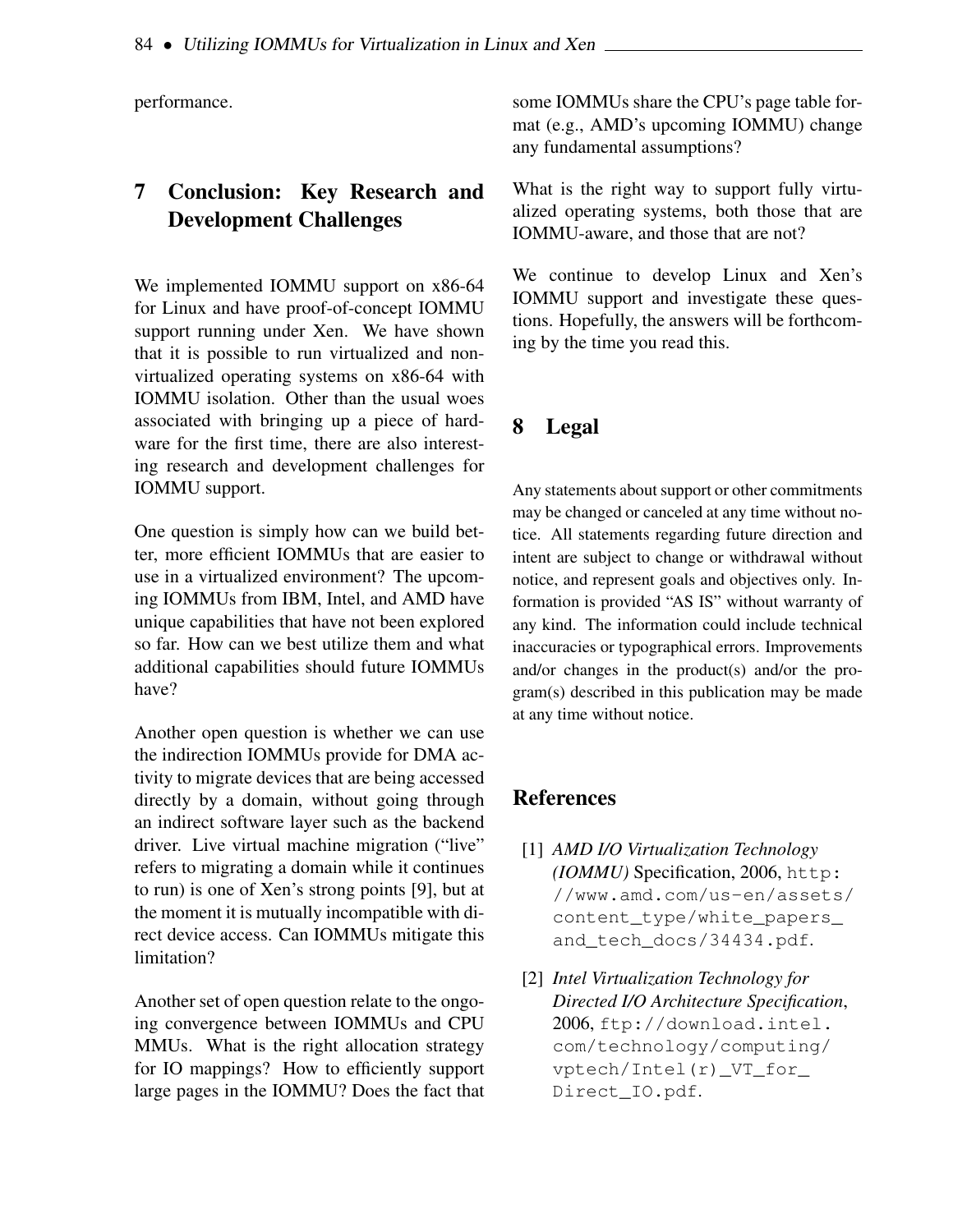performance.

## 7 Conclusion: Key Research and Development Challenges

We implemented IOMMU support on x86-64 for Linux and have proof-of-concept IOMMU support running under Xen. We have shown that it is possible to run virtualized and nonvirtualized operating systems on x86-64 with IOMMU isolation. Other than the usual woes associated with bringing up a piece of hardware for the first time, there are also interesting research and development challenges for IOMMU support.

One question is simply how can we build better, more efficient IOMMUs that are easier to use in a virtualized environment? The upcoming IOMMUs from IBM, Intel, and AMD have unique capabilities that have not been explored so far. How can we best utilize them and what additional capabilities should future IOMMUs have?

Another open question is whether we can use the indirection IOMMUs provide for DMA activity to migrate devices that are being accessed directly by a domain, without going through an indirect software layer such as the backend driver. Live virtual machine migration ("live" refers to migrating a domain while it continues to run) is one of Xen's strong points [9], but at the moment it is mutually incompatible with direct device access. Can IOMMUs mitigate this limitation?

Another set of open question relate to the ongoing convergence between IOMMUs and CPU MMUs. What is the right allocation strategy for IO mappings? How to efficiently support large pages in the IOMMU? Does the fact that some IOMMUs share the CPU's page table format (e.g., AMD's upcoming IOMMU) change any fundamental assumptions?

What is the right way to support fully virtualized operating systems, both those that are IOMMU-aware, and those that are not?

We continue to develop Linux and Xen's IOMMU support and investigate these questions. Hopefully, the answers will be forthcoming by the time you read this.

## 8 Legal

Any statements about support or other commitments may be changed or canceled at any time without notice. All statements regarding future direction and intent are subject to change or withdrawal without notice, and represent goals and objectives only. Information is provided "AS IS" without warranty of any kind. The information could include technical inaccuracies or typographical errors. Improvements and/or changes in the product(s) and/or the program(s) described in this publication may be made at any time without notice.

## References

- [1] *AMD I/O Virtualization Technology (IOMMU)* Specification, 2006, http: //www.amd.com/us-en/assets/ content\_type/white\_papers\_ and\_tech\_docs/34434.pdf.
- [2] *Intel Virtualization Technology for Directed I/O Architecture Specification*, 2006, ftp://download.intel. com/technology/computing/ vptech/Intel(r)\_VT\_for\_ Direct\_IO.pdf.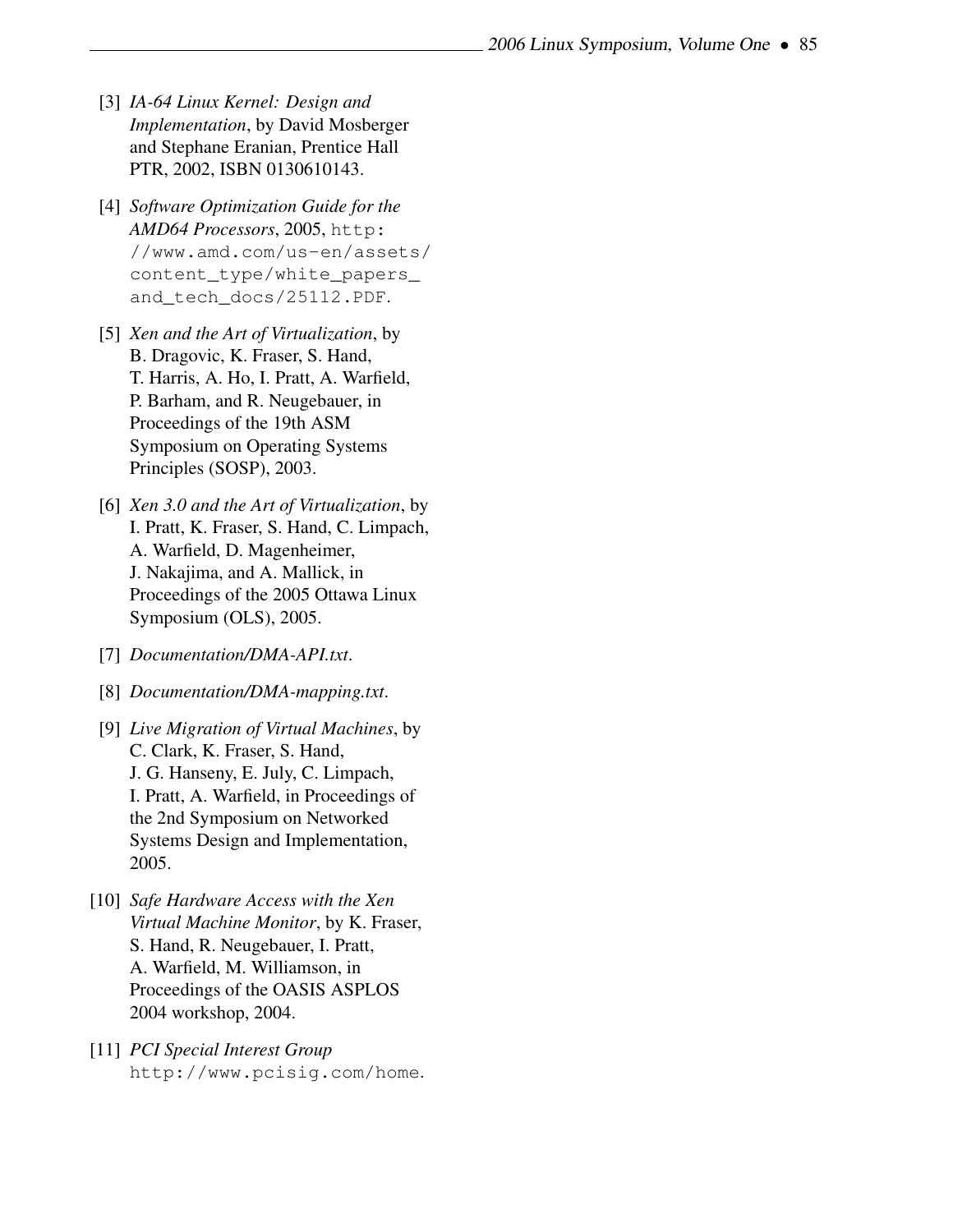- [3] *IA-64 Linux Kernel: Design and Implementation*, by David Mosberger and Stephane Eranian, Prentice Hall PTR, 2002, ISBN 0130610143.
- [4] *Software Optimization Guide for the AMD64 Processors*, 2005, http: //www.amd.com/us-en/assets/ content\_type/white\_papers\_ and\_tech\_docs/25112.PDF.
- [5] *Xen and the Art of Virtualization*, by B. Dragovic, K. Fraser, S. Hand, T. Harris, A. Ho, I. Pratt, A. Warfield, P. Barham, and R. Neugebauer, in Proceedings of the 19th ASM Symposium on Operating Systems Principles (SOSP), 2003.
- [6] *Xen 3.0 and the Art of Virtualization*, by I. Pratt, K. Fraser, S. Hand, C. Limpach, A. Warfield, D. Magenheimer, J. Nakajima, and A. Mallick, in Proceedings of the 2005 Ottawa Linux Symposium (OLS), 2005.
- [7] *Documentation/DMA-API.txt*.
- [8] *Documentation/DMA-mapping.txt*.
- [9] *Live Migration of Virtual Machines*, by C. Clark, K. Fraser, S. Hand, J. G. Hanseny, E. July, C. Limpach, I. Pratt, A. Warfield, in Proceedings of the 2nd Symposium on Networked Systems Design and Implementation, 2005.
- [10] *Safe Hardware Access with the Xen Virtual Machine Monitor*, by K. Fraser, S. Hand, R. Neugebauer, I. Pratt, A. Warfield, M. Williamson, in Proceedings of the OASIS ASPLOS 2004 workshop, 2004.
- [11] *PCI Special Interest Group* http://www.pcisig.com/home.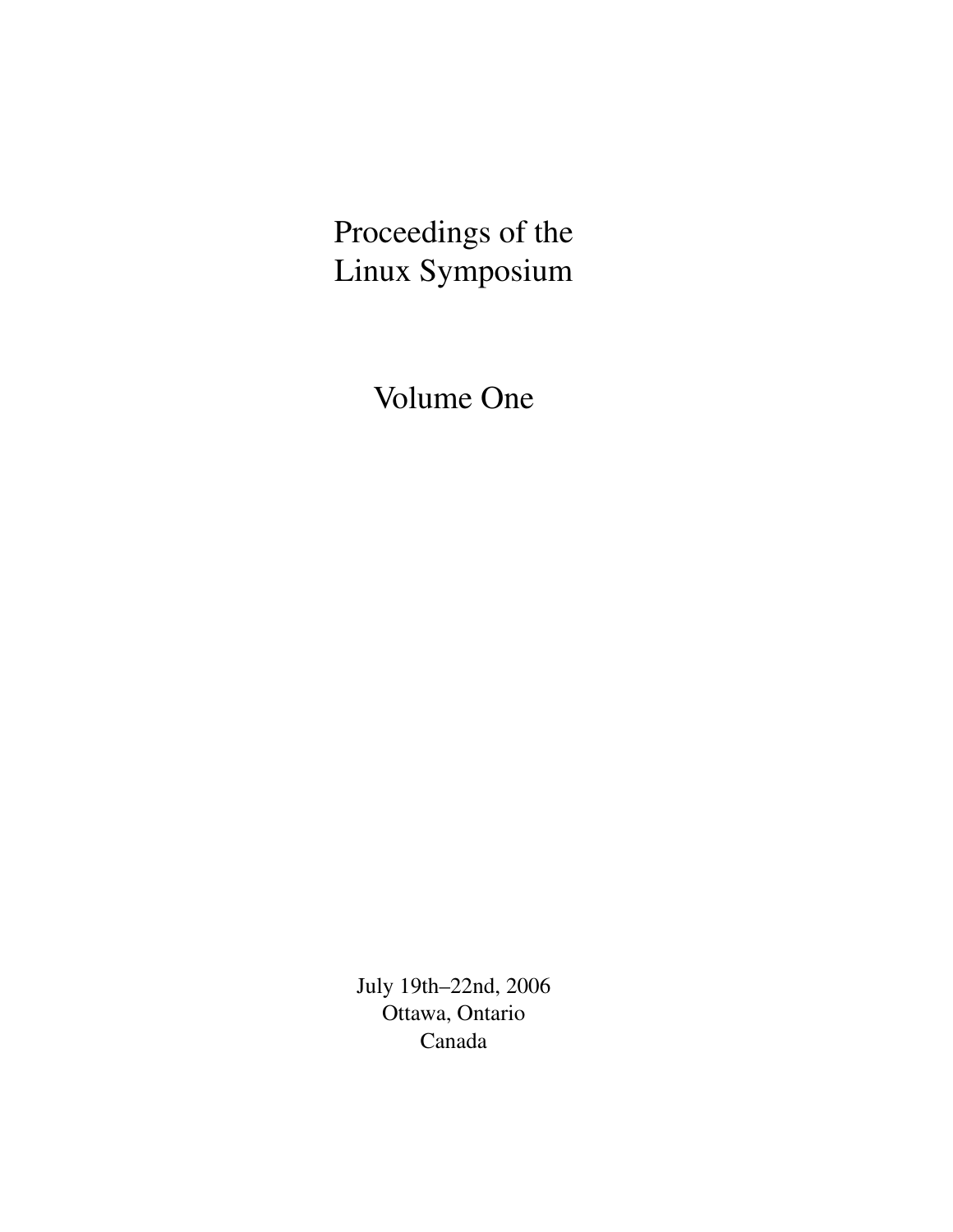# Proceedings of the Linux Symposium

Volume One

July 19th–22nd, 2006 Ottawa, Ontario Canada